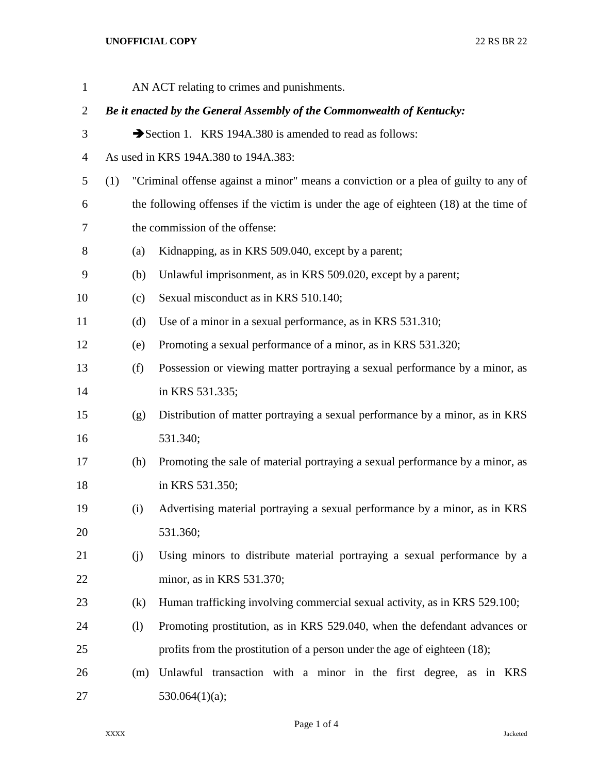## **UNOFFICIAL COPY** 22 RS BR 22

| $\mathbf{1}$   |     | AN ACT relating to crimes and punishments.                                            |
|----------------|-----|---------------------------------------------------------------------------------------|
| 2              |     | Be it enacted by the General Assembly of the Commonwealth of Kentucky:                |
| 3              |     | Section 1. KRS 194A.380 is amended to read as follows:                                |
| $\overline{4}$ |     | As used in KRS 194A.380 to 194A.383:                                                  |
| 5              | (1) | "Criminal offense against a minor" means a conviction or a plea of guilty to any of   |
| 6              |     | the following offenses if the victim is under the age of eighteen (18) at the time of |
| 7              |     | the commission of the offense:                                                        |
| 8              | (a) | Kidnapping, as in KRS 509.040, except by a parent;                                    |
| 9              | (b) | Unlawful imprisonment, as in KRS 509.020, except by a parent;                         |
| 10             | (c) | Sexual misconduct as in KRS 510.140;                                                  |
| 11             | (d) | Use of a minor in a sexual performance, as in KRS 531.310;                            |
| 12             | (e) | Promoting a sexual performance of a minor, as in KRS 531.320;                         |
| 13             | (f) | Possession or viewing matter portraying a sexual performance by a minor, as           |
| 14             |     | in KRS 531.335;                                                                       |
| 15             | (g) | Distribution of matter portraying a sexual performance by a minor, as in KRS          |
| 16             |     | 531.340;                                                                              |
| 17             | (h) | Promoting the sale of material portraying a sexual performance by a minor, as         |
| 18             |     | in KRS 531.350;                                                                       |
| 19             | (i) | Advertising material portraying a sexual performance by a minor, as in KRS            |
| 20             |     | 531.360;                                                                              |
| 21             | (j) | Using minors to distribute material portraying a sexual performance by a              |
| 22             |     | minor, as in KRS 531.370;                                                             |
| 23             | (k) | Human trafficking involving commercial sexual activity, as in KRS 529.100;            |
| 24             | (1) | Promoting prostitution, as in KRS 529.040, when the defendant advances or             |
| 25             |     | profits from the prostitution of a person under the age of eighteen (18);             |
| 26             | (m) | Unlawful transaction with a minor in the first degree, as in KRS                      |
| 27             |     | 530.064(1)(a);                                                                        |

Page 1 of 4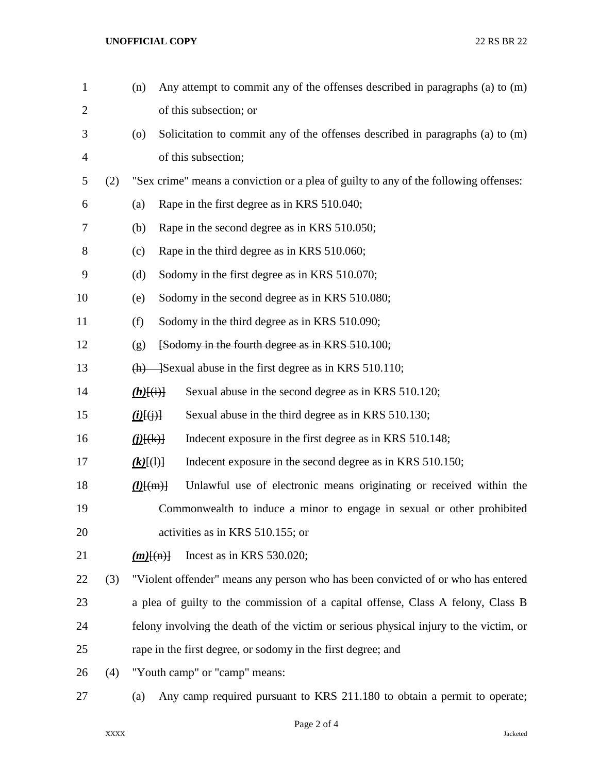## **UNOFFICIAL COPY** 22 RS BR 22

| $\mathbf{1}$   |     | (n)                               | Any attempt to commit any of the offenses described in paragraphs (a) to (m)          |
|----------------|-----|-----------------------------------|---------------------------------------------------------------------------------------|
| $\overline{c}$ |     |                                   | of this subsection; or                                                                |
| 3              |     | (0)                               | Solicitation to commit any of the offenses described in paragraphs (a) to (m)         |
| 4              |     |                                   | of this subsection;                                                                   |
| 5              | (2) |                                   | "Sex crime" means a conviction or a plea of guilty to any of the following offenses:  |
| 6              |     | (a)                               | Rape in the first degree as in KRS 510.040;                                           |
| 7              |     | (b)                               | Rape in the second degree as in KRS 510.050;                                          |
| 8              |     | (c)                               | Rape in the third degree as in KRS 510.060;                                           |
| 9              |     | (d)                               | Sodomy in the first degree as in KRS 510.070;                                         |
| 10             |     | (e)                               | Sodomy in the second degree as in KRS 510.080;                                        |
| 11             |     | (f)                               | Sodomy in the third degree as in KRS 510.090;                                         |
| 12             |     | (g)                               | [Sodomy in the fourth degree as in KRS 510.100;                                       |
| 13             |     |                                   | $(h)$ - Sexual abuse in the first degree as in KRS 510.110;                           |
| 14             |     | $(h)$ [(i)]                       | Sexual abuse in the second degree as in KRS 510.120;                                  |
| 15             |     | $\underline{(i)}[\overline{(j)}]$ | Sexual abuse in the third degree as in KRS 510.130;                                   |
| 16             |     | $\mathcal{L}(\mathbf{k})$         | Indecent exposure in the first degree as in KRS 510.148;                              |
| 17             |     | $(k)$ $(\theta)$                  | Indecent exposure in the second degree as in KRS 510.150;                             |
| 18             |     | $\underline{(l)$ [(m)]            | Unlawful use of electronic means originating or received within the                   |
| 19             |     |                                   | Commonwealth to induce a minor to engage in sexual or other prohibited                |
| 20             |     |                                   | activities as in KRS 510.155; or                                                      |
| 21             |     | $(m)$ $(n)$                       | Incest as in KRS 530.020;                                                             |
| 22             | (3) |                                   | "Violent offender" means any person who has been convicted of or who has entered      |
| 23             |     |                                   | a plea of guilty to the commission of a capital offense, Class A felony, Class B      |
| 24             |     |                                   | felony involving the death of the victim or serious physical injury to the victim, or |
| 25             |     |                                   | rape in the first degree, or sodomy in the first degree; and                          |
| 26             | (4) | "Youth camp" or "camp" means:     |                                                                                       |
| 27             |     | (a)                               | Any camp required pursuant to KRS 211.180 to obtain a permit to operate;              |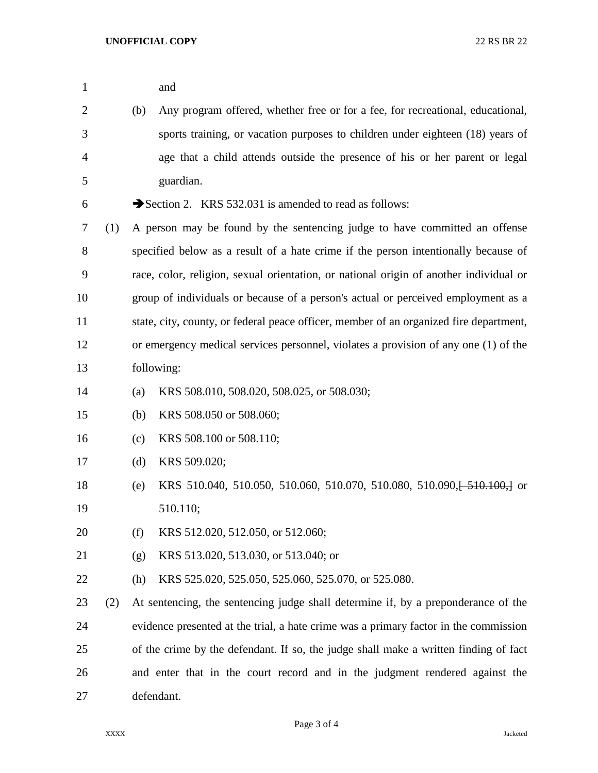| $\mathbf{1}$   |     |            | and                                                                                    |  |
|----------------|-----|------------|----------------------------------------------------------------------------------------|--|
| $\overline{c}$ |     | (b)        | Any program offered, whether free or for a fee, for recreational, educational,         |  |
| 3              |     |            | sports training, or vacation purposes to children under eighteen (18) years of         |  |
| 4              |     |            | age that a child attends outside the presence of his or her parent or legal            |  |
| 5              |     |            | guardian.                                                                              |  |
| 6              |     |            | Section 2. KRS 532.031 is amended to read as follows:                                  |  |
|                |     |            |                                                                                        |  |
| 7              | (1) |            | A person may be found by the sentencing judge to have committed an offense             |  |
| 8              |     |            | specified below as a result of a hate crime if the person intentionally because of     |  |
| 9              |     |            | race, color, religion, sexual orientation, or national origin of another individual or |  |
| 10             |     |            | group of individuals or because of a person's actual or perceived employment as a      |  |
| 11             |     |            | state, city, county, or federal peace officer, member of an organized fire department, |  |
| 12             |     |            | or emergency medical services personnel, violates a provision of any one (1) of the    |  |
| 13             |     |            | following:                                                                             |  |
| 14             |     | (a)        | KRS 508.010, 508.020, 508.025, or 508.030;                                             |  |
| 15             |     | (b)        | KRS 508.050 or 508.060;                                                                |  |
| 16             |     | (c)        | KRS 508.100 or 508.110;                                                                |  |
| 17             |     | (d)        | KRS 509.020;                                                                           |  |
| 18             |     | (e)        | KRS 510.040, 510.050, 510.060, 510.070, 510.080, 510.090, 510.100, or                  |  |
| 19             |     |            | 510.110;                                                                               |  |
| 20             |     | (f)        | KRS 512.020, 512.050, or 512.060;                                                      |  |
| 21             |     | (g)        | KRS 513.020, 513.030, or 513.040; or                                                   |  |
| 22             |     | (h)        | KRS 525.020, 525.050, 525.060, 525.070, or 525.080.                                    |  |
| 23             | (2) |            | At sentencing, the sentencing judge shall determine if, by a preponderance of the      |  |
| 24             |     |            | evidence presented at the trial, a hate crime was a primary factor in the commission   |  |
| 25             |     |            | of the crime by the defendant. If so, the judge shall make a written finding of fact   |  |
| 26             |     |            | and enter that in the court record and in the judgment rendered against the            |  |
| 27             |     | defendant. |                                                                                        |  |